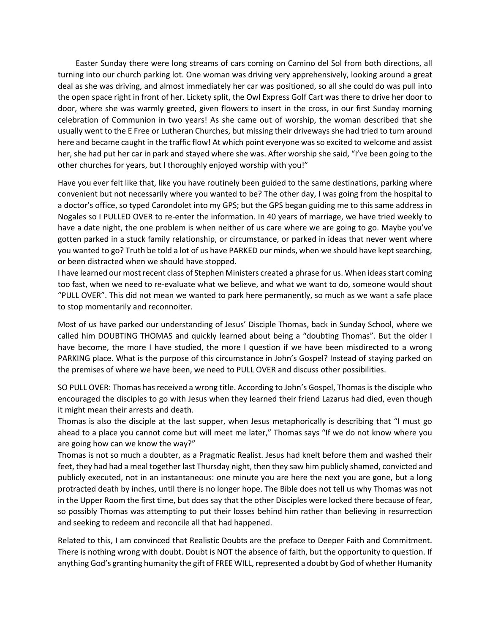Easter Sunday there were long streams of cars coming on Camino del Sol from both directions, all turning into our church parking lot. One woman was driving very apprehensively, looking around a great deal as she was driving, and almost immediately her car was positioned, so all she could do was pull into the open space right in front of her. Lickety split, the Owl Express Golf Cart was there to drive her door to door, where she was warmly greeted, given flowers to insert in the cross, in our first Sunday morning celebration of Communion in two years! As she came out of worship, the woman described that she usually went to the E Free or Lutheran Churches, but missing their driveways she had tried to turn around here and became caught in the traffic flow! At which point everyone was so excited to welcome and assist her, she had put her car in park and stayed where she was. After worship she said, "I've been going to the other churches for years, but I thoroughly enjoyed worship with you!"

Have you ever felt like that, like you have routinely been guided to the same destinations, parking where convenient but not necessarily where you wanted to be? The other day, I was going from the hospital to a doctor's office, so typed Carondolet into my GPS; but the GPS began guiding me to this same address in Nogales so I PULLED OVER to re-enter the information. In 40 years of marriage, we have tried weekly to have a date night, the one problem is when neither of us care where we are going to go. Maybe you've gotten parked in a stuck family relationship, or circumstance, or parked in ideas that never went where you wanted to go? Truth be told a lot of us have PARKED our minds, when we should have kept searching, or been distracted when we should have stopped.

I have learned our most recent class of Stephen Ministers created a phrase for us. When ideas start coming too fast, when we need to re-evaluate what we believe, and what we want to do, someone would shout "PULL OVER". This did not mean we wanted to park here permanently, so much as we want a safe place to stop momentarily and reconnoiter.

Most of us have parked our understanding of Jesus' Disciple Thomas, back in Sunday School, where we called him DOUBTING THOMAS and quickly learned about being a "doubting Thomas". But the older I have become, the more I have studied, the more I question if we have been misdirected to a wrong PARKING place. What is the purpose of this circumstance in John's Gospel? Instead of staying parked on the premises of where we have been, we need to PULL OVER and discuss other possibilities.

SO PULL OVER: Thomas has received a wrong title. According to John's Gospel, Thomas is the disciple who encouraged the disciples to go with Jesus when they learned their friend Lazarus had died, even though it might mean their arrests and death.

Thomas is also the disciple at the last supper, when Jesus metaphorically is describing that "I must go ahead to a place you cannot come but will meet me later," Thomas says "If we do not know where you are going how can we know the way?"

Thomas is not so much a doubter, as a Pragmatic Realist. Jesus had knelt before them and washed their feet, they had had a meal together last Thursday night, then they saw him publicly shamed, convicted and publicly executed, not in an instantaneous: one minute you are here the next you are gone, but a long protracted death by inches, until there is no longer hope. The Bible does not tell us why Thomas was not in the Upper Room the first time, but does say that the other Disciples were locked there because of fear, so possibly Thomas was attempting to put their losses behind him rather than believing in resurrection and seeking to redeem and reconcile all that had happened.

Related to this, I am convinced that Realistic Doubts are the preface to Deeper Faith and Commitment. There is nothing wrong with doubt. Doubt is NOT the absence of faith, but the opportunity to question. If anything God's granting humanity the gift of FREE WILL, represented a doubt by God of whether Humanity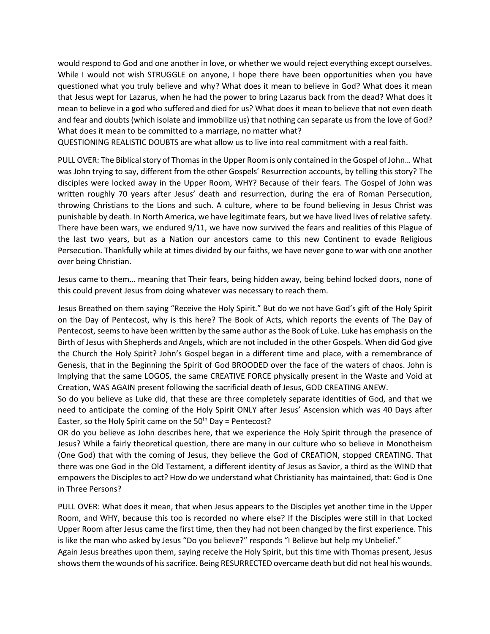would respond to God and one another in love, or whether we would reject everything except ourselves. While I would not wish STRUGGLE on anyone, I hope there have been opportunities when you have questioned what you truly believe and why? What does it mean to believe in God? What does it mean that Jesus wept for Lazarus, when he had the power to bring Lazarus back from the dead? What does it mean to believe in a god who suffered and died for us? What does it mean to believe that not even death and fear and doubts (which isolate and immobilize us) that nothing can separate us from the love of God? What does it mean to be committed to a marriage, no matter what?

QUESTIONING REALISTIC DOUBTS are what allow us to live into real commitment with a real faith.

PULL OVER: The Biblical story of Thomas in the Upper Room is only contained in the Gospel of John… What was John trying to say, different from the other Gospels' Resurrection accounts, by telling this story? The disciples were locked away in the Upper Room, WHY? Because of their fears. The Gospel of John was written roughly 70 years after Jesus' death and resurrection, during the era of Roman Persecution, throwing Christians to the Lions and such. A culture, where to be found believing in Jesus Christ was punishable by death. In North America, we have legitimate fears, but we have lived lives of relative safety. There have been wars, we endured 9/11, we have now survived the fears and realities of this Plague of the last two years, but as a Nation our ancestors came to this new Continent to evade Religious Persecution. Thankfully while at times divided by our faiths, we have never gone to war with one another over being Christian.

Jesus came to them… meaning that Their fears, being hidden away, being behind locked doors, none of this could prevent Jesus from doing whatever was necessary to reach them.

Jesus Breathed on them saying "Receive the Holy Spirit." But do we not have God's gift of the Holy Spirit on the Day of Pentecost, why is this here? The Book of Acts, which reports the events of The Day of Pentecost, seems to have been written by the same author as the Book of Luke. Luke has emphasis on the Birth of Jesus with Shepherds and Angels, which are not included in the other Gospels. When did God give the Church the Holy Spirit? John's Gospel began in a different time and place, with a remembrance of Genesis, that in the Beginning the Spirit of God BROODED over the face of the waters of chaos. John is Implying that the same LOGOS, the same CREATIVE FORCE physically present in the Waste and Void at Creation, WAS AGAIN present following the sacrificial death of Jesus, GOD CREATING ANEW.

So do you believe as Luke did, that these are three completely separate identities of God, and that we need to anticipate the coming of the Holy Spirit ONLY after Jesus' Ascension which was 40 Days after Easter, so the Holy Spirit came on the  $50<sup>th</sup>$  Day = Pentecost?

OR do you believe as John describes here, that we experience the Holy Spirit through the presence of Jesus? While a fairly theoretical question, there are many in our culture who so believe in Monotheism (One God) that with the coming of Jesus, they believe the God of CREATION, stopped CREATING. That there was one God in the Old Testament, a different identity of Jesus as Savior, a third as the WIND that empowers the Disciples to act? How do we understand what Christianity has maintained, that: God is One in Three Persons?

PULL OVER: What does it mean, that when Jesus appears to the Disciples yet another time in the Upper Room, and WHY, because this too is recorded no where else? If the Disciples were still in that Locked Upper Room after Jesus came the first time, then they had not been changed by the first experience. This is like the man who asked by Jesus "Do you believe?" responds "I Believe but help my Unbelief." Again Jesus breathes upon them, saying receive the Holy Spirit, but this time with Thomas present, Jesus shows them the wounds of his sacrifice. Being RESURRECTED overcame death but did not heal his wounds.